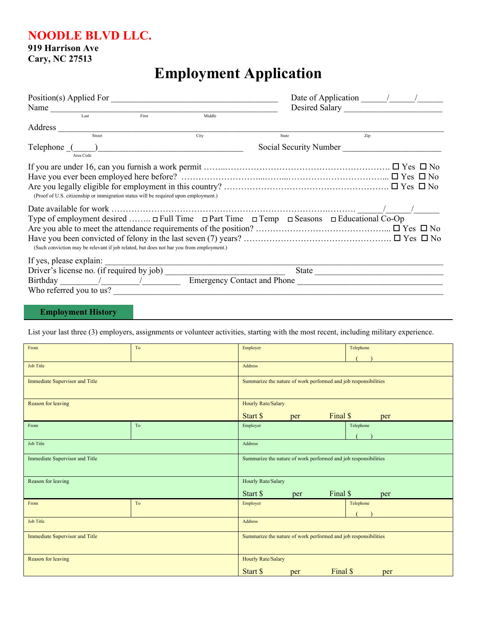**NOODLE BLVD LLC.**

**919 Harrison Ave**

**Cary, NC 27513**

## **Employment Application**

| Position(s) Applied For<br>Name                                                                                                                                                                                               |        |       | Desired Salary         |  |
|-------------------------------------------------------------------------------------------------------------------------------------------------------------------------------------------------------------------------------|--------|-------|------------------------|--|
| First<br>Last                                                                                                                                                                                                                 | Middle |       |                        |  |
|                                                                                                                                                                                                                               |        |       |                        |  |
| Street                                                                                                                                                                                                                        | City   | State | Zip                    |  |
| Telephone (Call Communication of the Communication of the Communication of the Communication of the Communication of the Communication of the Communication of the Communication of the Communication of the Communication of |        |       | Social Security Number |  |
| Area Code                                                                                                                                                                                                                     |        |       |                        |  |
|                                                                                                                                                                                                                               |        |       |                        |  |
|                                                                                                                                                                                                                               |        |       |                        |  |
| (Proof of U.S. citizenship or immigration status will be required upon employment.)                                                                                                                                           |        |       |                        |  |
|                                                                                                                                                                                                                               |        |       |                        |  |
| Type of employment desired $\Box$ Full Time $\Box$ Part Time $\Box$ Temp $\Box$ Seasons $\Box$ Educational Co-Op                                                                                                              |        |       |                        |  |
|                                                                                                                                                                                                                               |        |       |                        |  |
| (Such conviction may be relevant if job related, but does not bar you from employment.)                                                                                                                                       |        |       |                        |  |
| If yes, please explain:                                                                                                                                                                                                       |        |       |                        |  |
|                                                                                                                                                                                                                               |        |       |                        |  |
|                                                                                                                                                                                                                               |        |       |                        |  |
| Who referred you to us?                                                                                                                                                                                                       |        |       |                        |  |
|                                                                                                                                                                                                                               |        |       |                        |  |

## **Employment History**

List your last three (3) employers, assignments or volunteer activities, starting with the most recent, including military experience.

| Job Title<br>Address                                                                              |                                                                 |  |  |  |  |
|---------------------------------------------------------------------------------------------------|-----------------------------------------------------------------|--|--|--|--|
| Immediate Supervisor and Title<br>Summarize the nature of work performed and job responsibilities |                                                                 |  |  |  |  |
|                                                                                                   |                                                                 |  |  |  |  |
| Reason for leaving<br>Hourly Rate/Salary                                                          |                                                                 |  |  |  |  |
| Final \$<br>Start \$<br>per<br>per                                                                |                                                                 |  |  |  |  |
| Telephone<br>To<br>Employer<br>From                                                               |                                                                 |  |  |  |  |
|                                                                                                   |                                                                 |  |  |  |  |
| Job Title<br>Address                                                                              |                                                                 |  |  |  |  |
| Immediate Supervisor and Title<br>Summarize the nature of work performed and job responsibilities |                                                                 |  |  |  |  |
|                                                                                                   |                                                                 |  |  |  |  |
| Reason for leaving<br>Hourly Rate/Salary                                                          |                                                                 |  |  |  |  |
| Final \$<br>Start \$<br>per<br>per                                                                |                                                                 |  |  |  |  |
| To<br>Employer<br>Telephone<br>From                                                               |                                                                 |  |  |  |  |
|                                                                                                   |                                                                 |  |  |  |  |
| <b>Job Title</b><br>Address                                                                       |                                                                 |  |  |  |  |
|                                                                                                   | Summarize the nature of work performed and job responsibilities |  |  |  |  |
| Immediate Supervisor and Title                                                                    |                                                                 |  |  |  |  |
|                                                                                                   |                                                                 |  |  |  |  |
| Reason for leaving<br><b>Hourly Rate/Salary</b>                                                   |                                                                 |  |  |  |  |